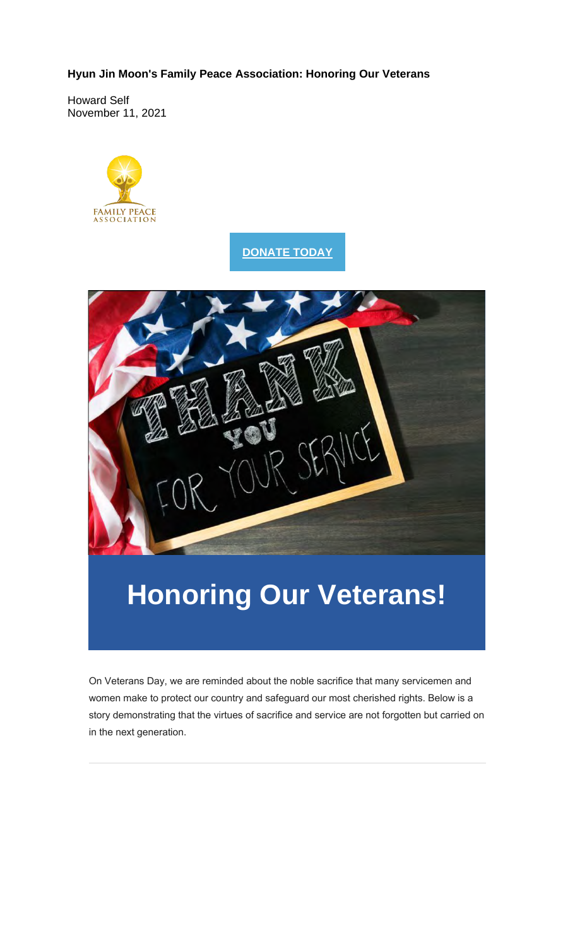**Hyun Jin Moon's Family Peace Association: Honoring Our Veterans**

Howard Self November 11, 2021



### **DONATE TODAY**



# **Honoring Our Veterans!**

On Veterans Day, we are reminded about the noble sacrifice that many servicemen and women make to protect our country and safeguard our most cherished rights. Below is a story demonstrating that the virtues of sacrifice and service are not forgotten but carried on in the next generation.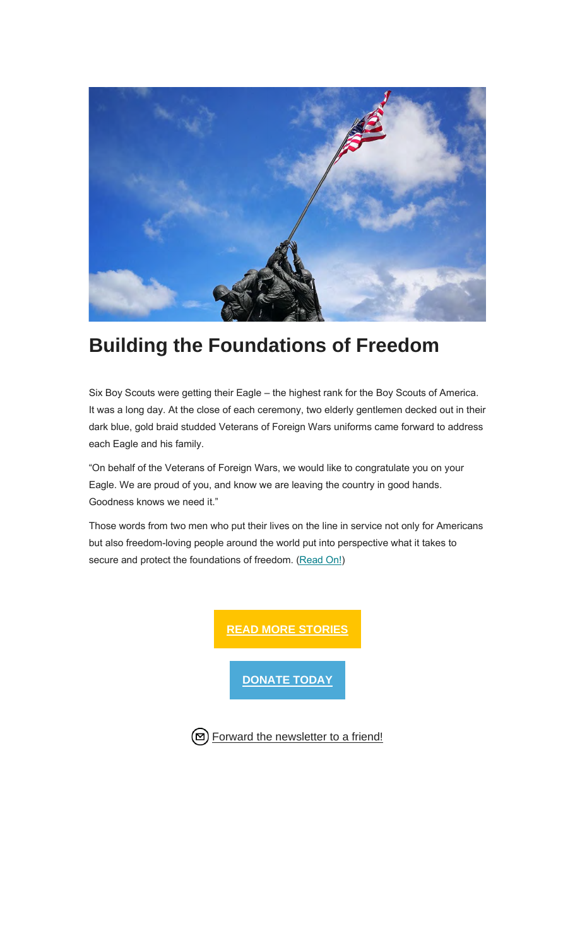

### **Building the Foundations of Freedom**

Six Boy Scouts were getting their Eagle – the highest rank for the Boy Scouts of America. It was a long day. At the close of each ceremony, two elderly gentlemen decked out in their dark blue, gold braid studded Veterans of Foreign Wars uniforms came forward to address each Eagle and his family.

"On behalf of the Veterans of Foreign Wars, we would like to congratulate you on your Eagle. We are proud of you, and know we are leaving the country in good hands. Goodness knows we need it."

Those words from two men who put their lives on the line in service not only for Americans but also freedom-loving people around the world put into perspective what it takes to secure and protect the foundations of freedom. (Read On!)

> **READ MORE STORIES DONATE TODAY**

**D** Forward the newsletter to a friend!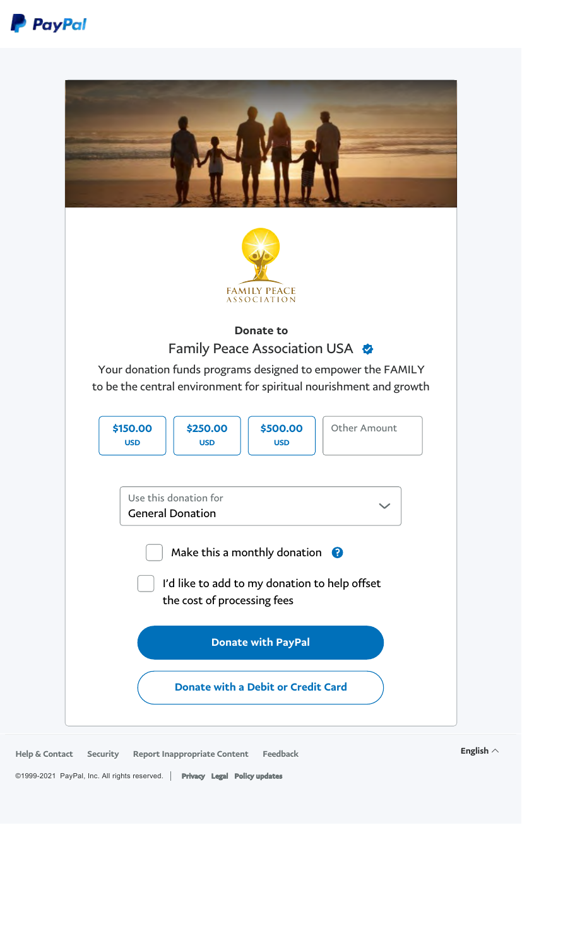



Help & Contact Security Report Inappropriate Content Feedback English  $\wedge$ ©1999-2021 PayPal, Inc. All rights reserved. | Privacy Legal Policy updates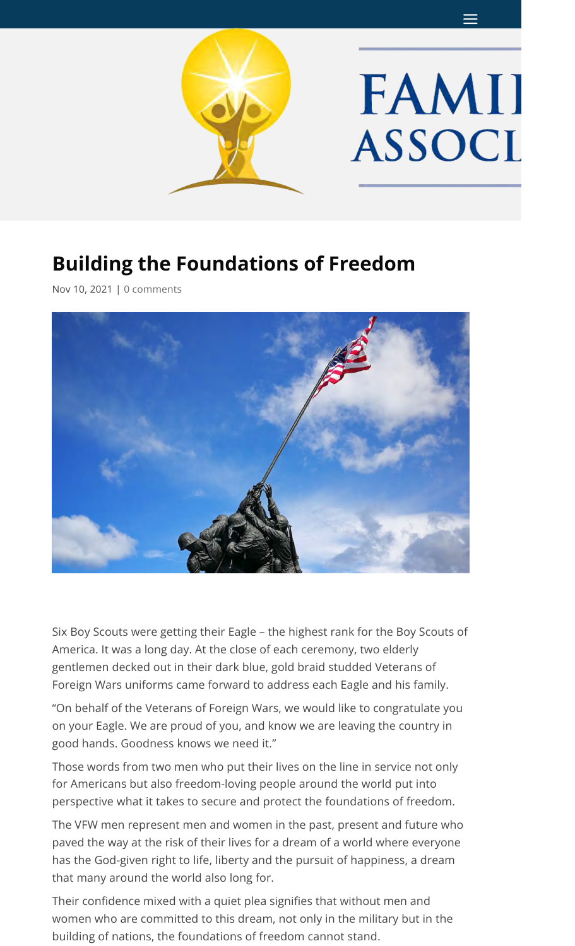

## **Building the Foundations of Freedom**

Nov 10, 2021 | 0 comments



Six Boy Scouts were getting their Eagle – the highest rank for the Boy Scouts of America. It was a long day. At the close of each ceremony, two elderly gentlemen decked out in their dark blue, gold braid studded Veterans of Foreign Wars uniforms came forward to address each Eagle and his family.

"On behalf of the Veterans of Foreign Wars, we would like to congratulate you on your Eagle. We are proud of you, and know we are leaving the country in good hands. Goodness knows we need it."

Those words from two men who put their lives on the line in service not only for Americans but also freedom-loving people around the world put into perspective what it takes to secure and protect the foundations of freedom.

The VFW men represent men and women in the past, present and future who paved the way at the risk of their lives for a dream of a world where everyone has the God-given right to life, liberty and the pursuit of happiness, a dream that many around the world also long for.

Their confidence mixed with a quiet plea signifies that without men and women who are committed to this dream, not only in the military but in the building of nations, the foundations of freedom cannot stand.